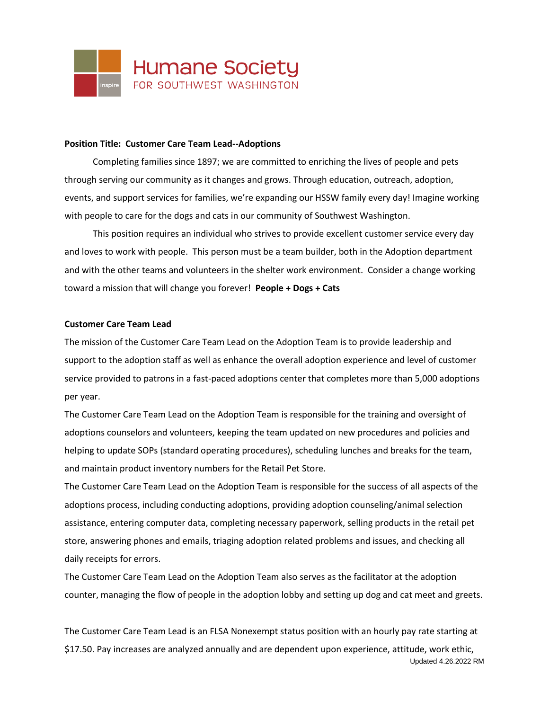

### **Position Title: Customer Care Team Lead--Adoptions**

Completing families since 1897; we are committed to enriching the lives of people and pets through serving our community as it changes and grows. Through education, outreach, adoption, events, and support services for families, we're expanding our HSSW family every day! Imagine working with people to care for the dogs and cats in our community of Southwest Washington.

This position requires an individual who strives to provide excellent customer service every day and loves to work with people. This person must be a team builder, both in the Adoption department and with the other teams and volunteers in the shelter work environment. Consider a change working toward a mission that will change you forever! **People + Dogs + Cats**

### **Customer Care Team Lead**

The mission of the Customer Care Team Lead on the Adoption Team is to provide leadership and support to the adoption staff as well as enhance the overall adoption experience and level of customer service provided to patrons in a fast-paced adoptions center that completes more than 5,000 adoptions per year.

The Customer Care Team Lead on the Adoption Team is responsible for the training and oversight of adoptions counselors and volunteers, keeping the team updated on new procedures and policies and helping to update SOPs (standard operating procedures), scheduling lunches and breaks for the team, and maintain product inventory numbers for the Retail Pet Store.

The Customer Care Team Lead on the Adoption Team is responsible for the success of all aspects of the adoptions process, including conducting adoptions, providing adoption counseling/animal selection assistance, entering computer data, completing necessary paperwork, selling products in the retail pet store, answering phones and emails, triaging adoption related problems and issues, and checking all daily receipts for errors.

The Customer Care Team Lead on the Adoption Team also serves as the facilitator at the adoption counter, managing the flow of people in the adoption lobby and setting up dog and cat meet and greets.

Updated 4.26.2022 RM The Customer Care Team Lead is an FLSA Nonexempt status position with an hourly pay rate starting at \$17.50. Pay increases are analyzed annually and are dependent upon experience, attitude, work ethic,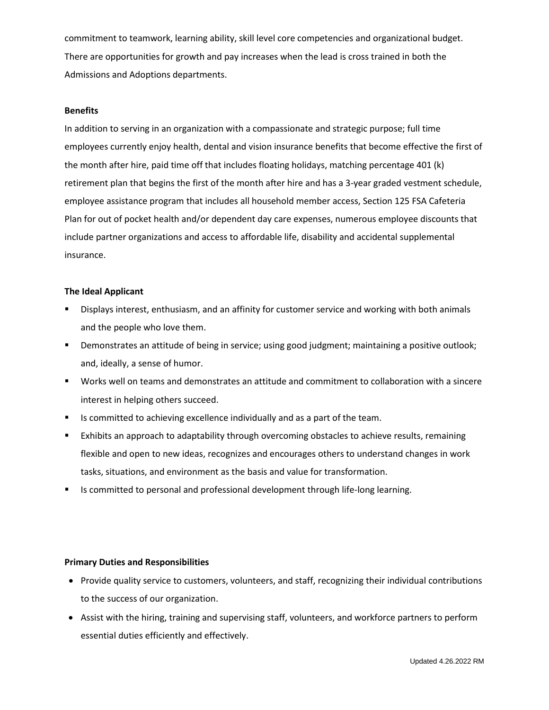commitment to teamwork, learning ability, skill level core competencies and organizational budget. There are opportunities for growth and pay increases when the lead is cross trained in both the Admissions and Adoptions departments.

## **Benefits**

In addition to serving in an organization with a compassionate and strategic purpose; full time employees currently enjoy health, dental and vision insurance benefits that become effective the first of the month after hire, paid time off that includes floating holidays, matching percentage 401 (k) retirement plan that begins the first of the month after hire and has a 3-year graded vestment schedule, employee assistance program that includes all household member access, Section 125 FSA Cafeteria Plan for out of pocket health and/or dependent day care expenses, numerous employee discounts that include partner organizations and access to affordable life, disability and accidental supplemental insurance.

## **The Ideal Applicant**

- Displays interest, enthusiasm, and an affinity for customer service and working with both animals and the people who love them.
- Demonstrates an attitude of being in service; using good judgment; maintaining a positive outlook; and, ideally, a sense of humor.
- Works well on teams and demonstrates an attitude and commitment to collaboration with a sincere interest in helping others succeed.
- Is committed to achieving excellence individually and as a part of the team.
- **Exhibits an approach to adaptability through overcoming obstacles to achieve results, remaining** flexible and open to new ideas, recognizes and encourages others to understand changes in work tasks, situations, and environment as the basis and value for transformation.
- Is committed to personal and professional development through life-long learning.

# **Primary Duties and Responsibilities**

- Provide quality service to customers, volunteers, and staff, recognizing their individual contributions to the success of our organization.
- Assist with the hiring, training and supervising staff, volunteers, and workforce partners to perform essential duties efficiently and effectively.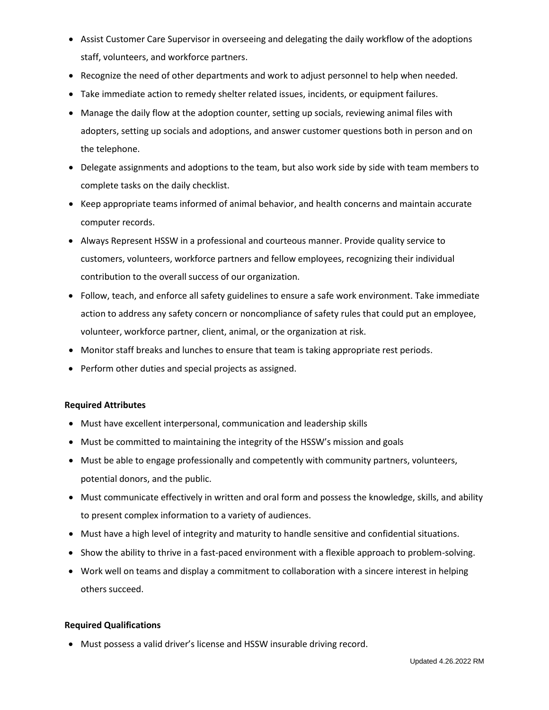- Assist Customer Care Supervisor in overseeing and delegating the daily workflow of the adoptions staff, volunteers, and workforce partners.
- Recognize the need of other departments and work to adjust personnel to help when needed.
- Take immediate action to remedy shelter related issues, incidents, or equipment failures.
- Manage the daily flow at the adoption counter, setting up socials, reviewing animal files with adopters, setting up socials and adoptions, and answer customer questions both in person and on the telephone.
- Delegate assignments and adoptions to the team, but also work side by side with team members to complete tasks on the daily checklist.
- Keep appropriate teams informed of animal behavior, and health concerns and maintain accurate computer records.
- Always Represent HSSW in a professional and courteous manner. Provide quality service to customers, volunteers, workforce partners and fellow employees, recognizing their individual contribution to the overall success of our organization.
- Follow, teach, and enforce all safety guidelines to ensure a safe work environment. Take immediate action to address any safety concern or noncompliance of safety rules that could put an employee, volunteer, workforce partner, client, animal, or the organization at risk.
- Monitor staff breaks and lunches to ensure that team is taking appropriate rest periods.
- Perform other duties and special projects as assigned.

# **Required Attributes**

- Must have excellent interpersonal, communication and leadership skills
- Must be committed to maintaining the integrity of the HSSW's mission and goals
- Must be able to engage professionally and competently with community partners, volunteers, potential donors, and the public.
- Must communicate effectively in written and oral form and possess the knowledge, skills, and ability to present complex information to a variety of audiences.
- Must have a high level of integrity and maturity to handle sensitive and confidential situations.
- Show the ability to thrive in a fast-paced environment with a flexible approach to problem-solving.
- Work well on teams and display a commitment to collaboration with a sincere interest in helping others succeed.

# **Required Qualifications**

• Must possess a valid driver's license and HSSW insurable driving record.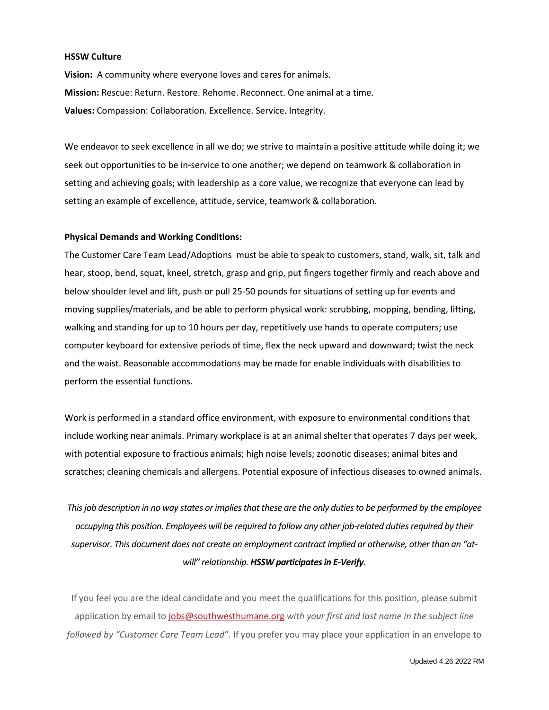## **HSSW Culture**

**Vision:** A community where everyone loves and cares for animals. **Mission:** Rescue: Return. Restore. Rehome. Reconnect. One animal at a time. **Values:** Compassion: Collaboration. Excellence. Service. Integrity.

We endeavor to seek excellence in all we do; we strive to maintain a positive attitude while doing it; we seek out opportunities to be in-service to one another; we depend on teamwork & collaboration in setting and achieving goals; with leadership as a core value, we recognize that everyone can lead by setting an example of excellence, attitude, service, teamwork & collaboration.

## **Physical Demands and Working Conditions:**

The Customer Care Team Lead/Adoptions must be able to speak to customers, stand, walk, sit, talk and hear, stoop, bend, squat, kneel, stretch, grasp and grip, put fingers together firmly and reach above and below shoulder level and lift, push or pull 25-50 pounds for situations of setting up for events and moving supplies/materials, and be able to perform physical work: scrubbing, mopping, bending, lifting, walking and standing for up to 10 hours per day, repetitively use hands to operate computers; use computer keyboard for extensive periods of time, flex the neck upward and downward; twist the neck and the waist. Reasonable accommodations may be made for enable individuals with disabilities to perform the essential functions.

Work is performed in a standard office environment, with exposure to environmental conditions that include working near animals. Primary workplace is at an animal shelter that operates 7 days per week, with potential exposure to fractious animals; high noise levels; zoonotic diseases; animal bites and scratches; cleaning chemicals and allergens. Potential exposure of infectious diseases to owned animals.

*This job description in no way states or implies that these are the only duties to be performed by the employee occupying this position. Employees will be required to follow any other job-related duties required by their supervisor. This document does not create an employment contract implied or otherwise, other than an "atwill" relationship. HSSW participates in E-Verify.*

If you feel you are the ideal candidate and you meet the qualifications for this position, please submit application by email to [jobs@southwesthumane.org](mailto:jobs@southwesthumane.org) *with your first and last name in the subject line followed by "Customer Care Team Lead".* If you prefer you may place your application in an envelope to